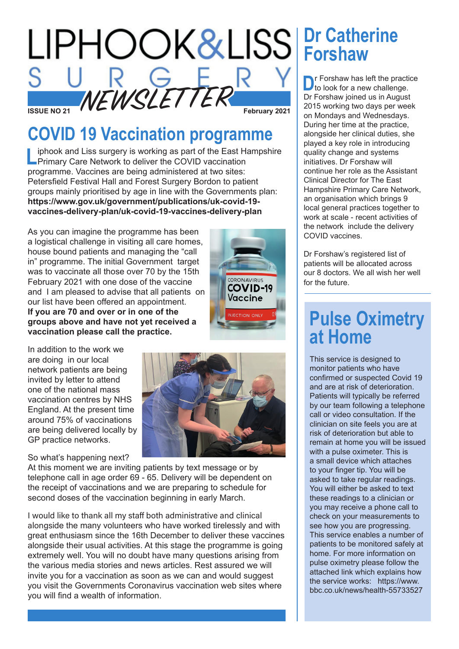

## **COVID 19 Vaccination programme**

iphook and Liss surgery is working as part of the East Hampshire **Primary Care Network to deliver the COVID vaccination** programme. Vaccines are being administered at two sites: Petersfield Festival Hall and Forest Surgery Bordon to patient groups mainly prioritised by age in line with the Governments plan: **https://www.gov.uk/government/publications/uk-covid-19 vaccines-delivery-plan/uk-covid-19-vaccines-delivery-plan**

As you can imagine the programme has been a logistical challenge in visiting all care homes, house bound patients and managing the "call in" programme. The initial Government target was to vaccinate all those over 70 by the 15th February 2021 with one dose of the vaccine and I am pleased to advise that all patients on our list have been offered an appointment. **If you are 70 and over or in one of the groups above and have not yet received a vaccination please call the practice.**



In addition to the work we are doing in our local network patients are being invited by letter to attend one of the national mass vaccination centres by NHS England. At the present time around 75% of vaccinations are being delivered locally by GP practice networks.

So what's happening next?



At this moment we are inviting patients by text message or by telephone call in age order 69 - 65. Delivery will be dependent on the receipt of vaccinations and we are preparing to schedule for second doses of the vaccination beginning in early March.

I would like to thank all my staff both administrative and clinical alongside the many volunteers who have worked tirelessly and with great enthusiasm since the 16th December to deliver these vaccines alongside their usual activities. At this stage the programme is going extremely well. You will no doubt have many questions arising from the various media stories and news articles. Rest assured we will invite you for a vaccination as soon as we can and would suggest you visit the Governments Coronavirus vaccination web sites where you will find a wealth of information.

## **Dr Catherine Forshaw**

**D**r Forshaw has left the practice<br>to look for a new challenge. Dr Forshaw joined us in August 2015 working two days per week on Mondays and Wednesdays. During her time at the practice, alongside her clinical duties, she played a key role in introducing quality change and systems initiatives. Dr Forshaw will continue her role as the Assistant Clinical Director for The East Hampshire Primary Care Network, an organisation which brings 9 local general practices together to work at scale - recent activities of the network include the delivery COVID vaccines.

Dr Forshaw's registered list of patients will be allocated across our 8 doctors. We all wish her well for the future.

## **Pulse Oximetry at Home**

This service is designed to monitor patients who have confirmed or suspected Covid 19 and are at risk of deterioration. Patients will typically be referred by our team following a telephone call or video consultation. If the clinician on site feels you are at risk of deterioration but able to remain at home you will be issued with a pulse oximeter. This is a small device which attaches to your finger tip. You will be asked to take regular readings. You will either be asked to text these readings to a clinician or you may receive a phone call to check on your measurements to see how you are progressing. This service enables a number of patients to be monitored safely at home. For more information on pulse oximetry please follow the attached link which explains how the service works: https://www. bbc.co.uk/news/health-55733527